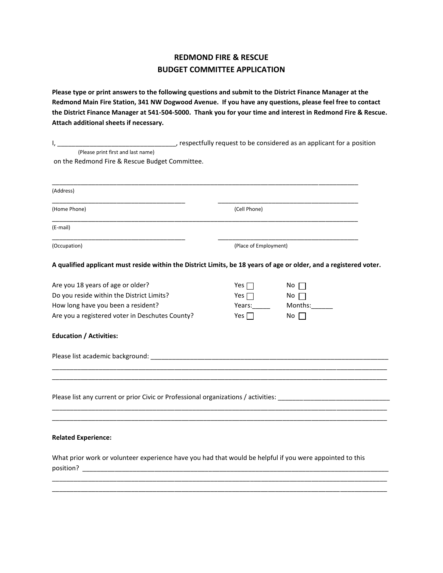## **REDMOND FIRE & RESCUE BUDGET COMMITTEE APPLICATION**

**Please type or print answers to the following questions and submit to the District Finance Manager at the Redmond Main Fire Station, 341 NW Dogwood Avenue. If you have any questions, please feel free to contact the District Finance Manager at 541-504-5000. Thank you for your time and interest in Redmond Fire & Rescue. Attach additional sheets if necessary.**

| respectfully request to be considered as an applicant for a position (<br>۱, ۱                                        |                       |             |
|-----------------------------------------------------------------------------------------------------------------------|-----------------------|-------------|
| (Please print first and last name)                                                                                    |                       |             |
| on the Redmond Fire & Rescue Budget Committee.                                                                        |                       |             |
|                                                                                                                       |                       |             |
| (Address)                                                                                                             |                       |             |
| (Home Phone)                                                                                                          | (Cell Phone)          |             |
| (E-mail)                                                                                                              |                       |             |
| (Occupation)                                                                                                          | (Place of Employment) |             |
| A qualified applicant must reside within the District Limits, be 18 years of age or older, and a registered voter.    |                       |             |
| Are you 18 years of age or older?                                                                                     | Yes $\Box$            | No $\Box$   |
| Do you reside within the District Limits?                                                                             | Yes $\Box$            | No $\Box$   |
| How long have you been a resident?                                                                                    | Years:                | Months:     |
| Are you a registered voter in Deschutes County?                                                                       | Yes $\Box$            | $No \ \Box$ |
| <b>Education / Activities:</b>                                                                                        |                       |             |
|                                                                                                                       |                       |             |
|                                                                                                                       |                       |             |
| Please list any current or prior Civic or Professional organizations / activities: _________________                  |                       |             |
|                                                                                                                       |                       |             |
| <b>Related Experience:</b>                                                                                            |                       |             |
| What prior work or volunteer experience have you had that would be helpful if you were appointed to this<br>position? |                       |             |
|                                                                                                                       |                       |             |

\_\_\_\_\_\_\_\_\_\_\_\_\_\_\_\_\_\_\_\_\_\_\_\_\_\_\_\_\_\_\_\_\_\_\_\_\_\_\_\_\_\_\_\_\_\_\_\_\_\_\_\_\_\_\_\_\_\_\_\_\_\_\_\_\_\_\_\_\_\_\_\_\_\_\_\_\_\_\_\_\_\_\_\_\_\_\_\_\_\_\_\_\_